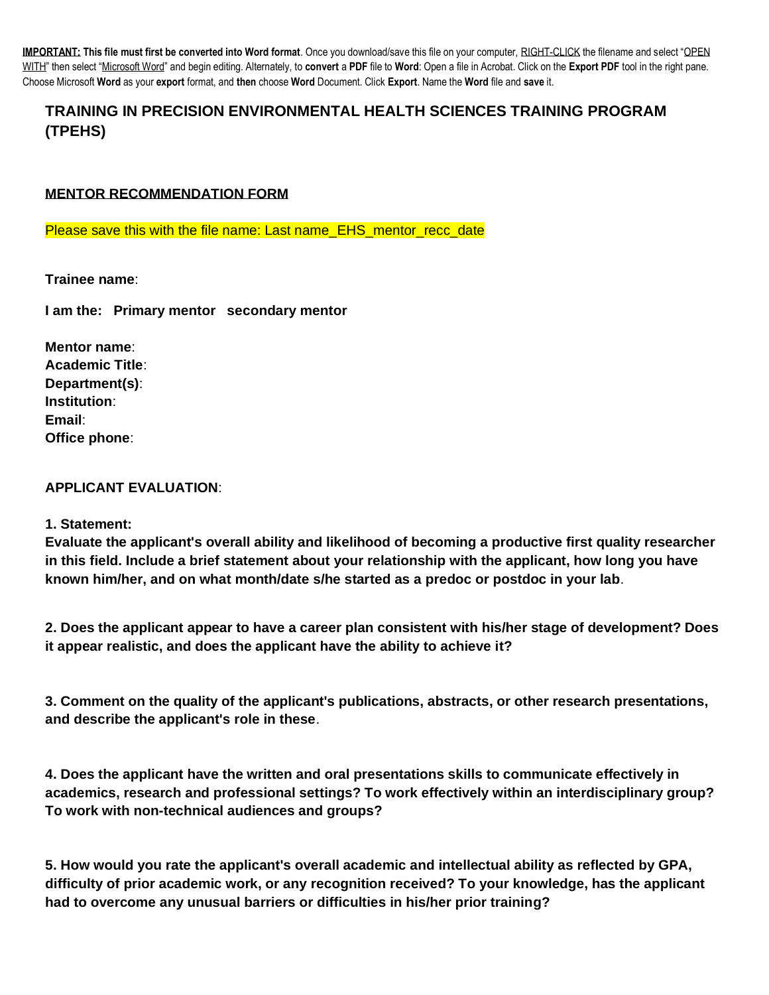**IMPORTANT: This file must first be converted into Word format**. Once you download/save this file on your computer, RIGHT-CLICK the filename and select "OPEN WITH" then select "Microsoft Word" and begin editing. Alternately, to **convert** a **PDF** file to **Word**: Open a file in Acrobat. Click on the **Export PDF** tool in the right pane. Choose Microsoft **Word** as your **export** format, and **then** choose **Word** Document. Click **Export**. Name the **Word** file and **save** it.

# **TRAINING IN PRECISION ENVIRONMENTAL HEALTH SCIENCES TRAINING PROGRAM (TPEHS)**

## **MENTOR RECOMMENDATION FORM**

Please save this with the file name: Last name\_EHS\_mentor\_recc\_date

**Trainee name**:

**I am the: Primary mentor secondary mentor**

**Mentor name**: **Academic Title**: **Department(s)**: **Institution**: **Email**: **Office phone**:

## **APPLICANT EVALUATION**:

#### **1. Statement:**

**Evaluate the applicant's overall ability and likelihood of becoming a productive first quality researcher in this field. Include a brief statement about your relationship with the applicant, how long you have known him/her, and on what month/date s/he started as a predoc or postdoc in your lab**.

**2. Does the applicant appear to have a career plan consistent with his/her stage of development? Does it appear realistic, and does the applicant have the ability to achieve it?**

**3. Comment on the quality of the applicant's publications, abstracts, or other research presentations, and describe the applicant's role in these**.

**4. Does the applicant have the written and oral presentations skills to communicate effectively in academics, research and professional settings? To work effectively within an interdisciplinary group? To work with non-technical audiences and groups?**

**5. How would you rate the applicant's overall academic and intellectual ability as reflected by GPA, difficulty of prior academic work, or any recognition received? To your knowledge, has the applicant had to overcome any unusual barriers or difficulties in his/her prior training?**